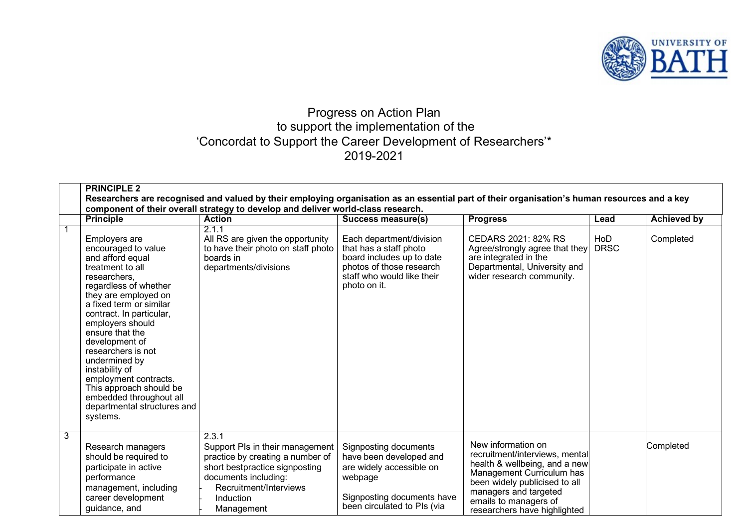

## Progress on Action Plan to support the implementation of the 'Concordat to Support the Career Development of Researchers'\* 2019-2021

|   | <b>PRINCIPLE 2</b>                                                                                                                                                                                                                                                                                                                                                                                                                               | Researchers are recognised and valued by their employing organisation as an essential part of their organisation's human resources and a key<br>component of their overall strategy to develop and deliver world-class research. |                                                                                                                                                           |                                                                                                                                                                                                                                       |                    |                    |
|---|--------------------------------------------------------------------------------------------------------------------------------------------------------------------------------------------------------------------------------------------------------------------------------------------------------------------------------------------------------------------------------------------------------------------------------------------------|----------------------------------------------------------------------------------------------------------------------------------------------------------------------------------------------------------------------------------|-----------------------------------------------------------------------------------------------------------------------------------------------------------|---------------------------------------------------------------------------------------------------------------------------------------------------------------------------------------------------------------------------------------|--------------------|--------------------|
|   | <b>Principle</b>                                                                                                                                                                                                                                                                                                                                                                                                                                 | <b>Action</b>                                                                                                                                                                                                                    | Success measure(s)                                                                                                                                        | <b>Progress</b>                                                                                                                                                                                                                       | Lead               | <b>Achieved by</b> |
|   | Employers are<br>encouraged to value<br>and afford equal<br>treatment to all<br>researchers,<br>regardless of whether<br>they are employed on<br>a fixed term or similar<br>contract. In particular,<br>employers should<br>ensure that the<br>development of<br>researchers is not<br>undermined by<br>instability of<br>employment contracts.<br>This approach should be<br>embedded throughout all<br>departmental structures and<br>systems. | 2.1.1<br>All RS are given the opportunity<br>to have their photo on staff photo<br>boards in<br>departments/divisions                                                                                                            | Each department/division<br>that has a staff photo<br>board includes up to date<br>photos of those research<br>staff who would like their<br>photo on it. | CEDARS 2021: 82% RS<br>Agree/strongly agree that they<br>are integrated in the<br>Departmental, University and<br>wider research community.                                                                                           | HoD<br><b>DRSC</b> | Completed          |
| 3 | Research managers<br>should be required to<br>participate in active<br>performance<br>management, including<br>career development<br>guidance, and                                                                                                                                                                                                                                                                                               | 2.3.1<br>Support PIs in their management<br>practice by creating a number of<br>short bestpractice signposting<br>documents including:<br>Recruitment/Interviews<br>Induction<br>Management                                      | Signposting documents<br>have been developed and<br>are widely accessible on<br>webpage<br>Signposting documents have<br>been circulated to PIs (via      | New information on<br>recruitment/interviews, mental<br>health & wellbeing, and a new<br>Management Curriculum has<br>been widely publicised to all<br>managers and targeted<br>emails to managers of<br>researchers have highlighted |                    | Completed          |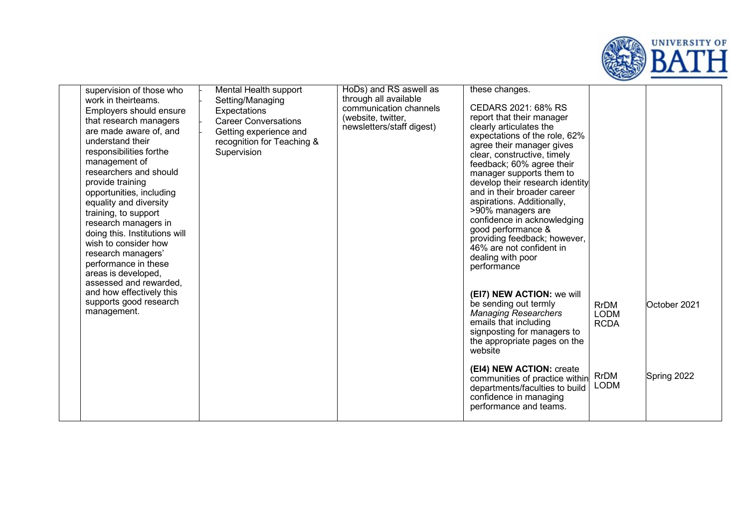

| supervision of those who<br>work in theirteams.<br>Employers should ensure<br>that research managers<br>are made aware of, and<br>understand their<br>responsibilities forthe<br>management of<br>researchers and should<br>provide training<br>opportunities, including<br>equality and diversity<br>training, to support<br>research managers in<br>doing this. Institutions will<br>wish to consider how<br>research managers'<br>performance in these<br>areas is developed,<br>assessed and rewarded, | Mental Health support<br>Setting/Managing<br>Expectations<br><b>Career Conversations</b><br>Getting experience and<br>recognition for Teaching &<br>Supervision | HoDs) and RS aswell as<br>through all available<br>communication channels<br>(website, twitter,<br>newsletters/staff digest) | these changes.<br>CEDARS 2021: 68% RS<br>report that their manager<br>clearly articulates the<br>expectations of the role, 62%<br>agree their manager gives<br>clear, constructive, timely<br>feedback; 60% agree their<br>manager supports them to<br>develop their research identity<br>and in their broader career<br>aspirations. Additionally,<br>>90% managers are<br>confidence in acknowledging<br>good performance &<br>providing feedback; however,<br>46% are not confident in<br>dealing with poor<br>performance |                                           |              |
|------------------------------------------------------------------------------------------------------------------------------------------------------------------------------------------------------------------------------------------------------------------------------------------------------------------------------------------------------------------------------------------------------------------------------------------------------------------------------------------------------------|-----------------------------------------------------------------------------------------------------------------------------------------------------------------|------------------------------------------------------------------------------------------------------------------------------|-------------------------------------------------------------------------------------------------------------------------------------------------------------------------------------------------------------------------------------------------------------------------------------------------------------------------------------------------------------------------------------------------------------------------------------------------------------------------------------------------------------------------------|-------------------------------------------|--------------|
| and how effectively this<br>supports good research<br>management.                                                                                                                                                                                                                                                                                                                                                                                                                                          |                                                                                                                                                                 |                                                                                                                              | (EI7) NEW ACTION: we will<br>be sending out termly<br><b>Managing Researchers</b><br>emails that including<br>signposting for managers to<br>the appropriate pages on the<br>website                                                                                                                                                                                                                                                                                                                                          | <b>RrDM</b><br><b>LODM</b><br><b>RCDA</b> | October 2021 |
|                                                                                                                                                                                                                                                                                                                                                                                                                                                                                                            |                                                                                                                                                                 |                                                                                                                              | (EI4) NEW ACTION: create<br>communities of practice within<br>departments/faculties to build<br>confidence in managing<br>performance and teams.                                                                                                                                                                                                                                                                                                                                                                              | <b>RrDM</b><br><b>LODM</b>                | Spring 2022  |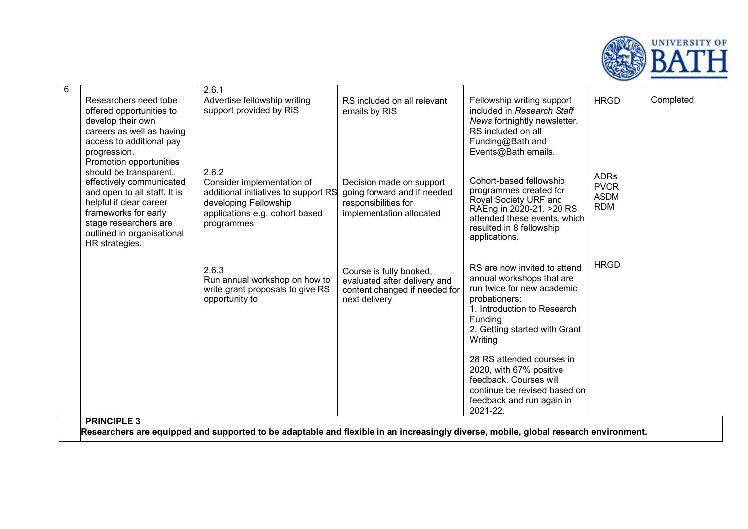

| $\overline{6}$ |                                                                                                                                                                                                                | 2.6.1                                                                                                                                                |                                                                                                             |                                                                                                                                                                                                |                                                         |           |  |  |  |
|----------------|----------------------------------------------------------------------------------------------------------------------------------------------------------------------------------------------------------------|------------------------------------------------------------------------------------------------------------------------------------------------------|-------------------------------------------------------------------------------------------------------------|------------------------------------------------------------------------------------------------------------------------------------------------------------------------------------------------|---------------------------------------------------------|-----------|--|--|--|
|                | Researchers need tobe<br>offered opportunities to<br>develop their own<br>careers as well as having<br>access to additional pay<br>progression.<br>Promotion opportunities                                     | Advertise fellowship writing<br>support provided by RIS                                                                                              | RS included on all relevant<br>emails by RIS                                                                | Fellowship writing support<br>included in Research Staff<br>News fortnightly newsletter.<br>RS included on all<br>Funding@Bath and<br>Events@Bath emails.                                      | <b>HRGD</b>                                             | Completed |  |  |  |
|                | should be transparent,<br>effectively communicated<br>and open to all staff. It is<br>helpful if clear career<br>frameworks for early<br>stage researchers are<br>outlined in organisational<br>HR strategies. | 2.6.2<br>Consider implementation of<br>additional initiatives to support RS<br>developing Fellowship<br>applications e.g. cohort based<br>programmes | Decision made on support<br>going forward and if needed<br>responsibilities for<br>implementation allocated | Cohort-based fellowship<br>programmes created for<br>Royal Society URF and<br>RAEng in 2020-21. > 20 RS<br>attended these events, which<br>resulted in 8 fellowship<br>applications.           | <b>ADRs</b><br><b>PVCR</b><br><b>ASDM</b><br><b>RDM</b> |           |  |  |  |
|                |                                                                                                                                                                                                                | 2.6.3<br>Run annual workshop on how to<br>write grant proposals to give RS<br>opportunity to                                                         | Course is fully booked,<br>evaluated after delivery and<br>content changed if needed for<br>next delivery   | RS are now invited to attend<br>annual workshops that are<br>run twice for new academic<br>probationers:<br>1. Introduction to Research<br>Funding<br>2. Getting started with Grant<br>Writing | <b>HRGD</b>                                             |           |  |  |  |
|                |                                                                                                                                                                                                                |                                                                                                                                                      |                                                                                                             | 28 RS attended courses in<br>2020, with 67% positive<br>feedback. Courses will<br>continue be revised based on<br>feedback and run again in<br>2021-22.                                        |                                                         |           |  |  |  |
|                | <b>PRINCIPLE 3</b><br>Researchers are equipped and supported to be adaptable and flexible in an increasingly diverse, mobile, global research environment.                                                     |                                                                                                                                                      |                                                                                                             |                                                                                                                                                                                                |                                                         |           |  |  |  |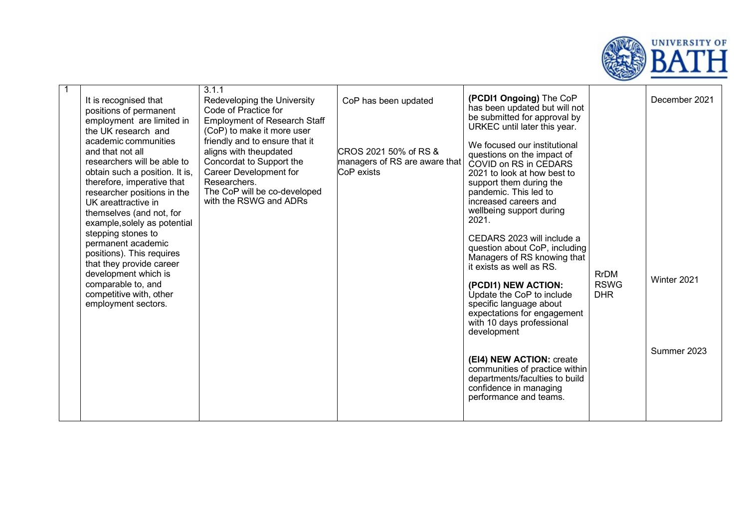

| - 1 |                                                           | 3.1.1                                               |                                                         |                                                             |             |               |
|-----|-----------------------------------------------------------|-----------------------------------------------------|---------------------------------------------------------|-------------------------------------------------------------|-------------|---------------|
|     | It is recognised that                                     | Redeveloping the University<br>Code of Practice for | CoP has been updated                                    | (PCDI1 Ongoing) The CoP<br>has been updated but will not    |             | December 2021 |
|     | positions of permanent<br>employment are limited in       | <b>Employment of Research Staff</b>                 |                                                         | be submitted for approval by                                |             |               |
|     | the UK research and                                       | (CoP) to make it more user                          |                                                         | URKEC until later this year.                                |             |               |
|     | academic communities<br>and that not all                  | friendly and to ensure that it                      |                                                         | We focused our institutional                                |             |               |
|     | researchers will be able to                               | aligns with theupdated<br>Concordat to Support the  | ICROS 2021 50% of RS &<br>managers of RS are aware that | questions on the impact of<br>COVID on RS in CEDARS         |             |               |
|     | obtain such a position. It is,                            | Career Development for                              | CoP exists                                              | 2021 to look at how best to                                 |             |               |
|     | therefore, imperative that<br>researcher positions in the | Researchers.<br>The CoP will be co-developed        |                                                         | support them during the<br>pandemic. This led to            |             |               |
|     | UK areattractive in                                       | with the RSWG and ADRs                              |                                                         | increased careers and                                       |             |               |
|     | themselves (and not, for                                  |                                                     |                                                         | wellbeing support during<br>2021.                           |             |               |
|     | example, solely as potential<br>stepping stones to        |                                                     |                                                         |                                                             |             |               |
|     | permanent academic                                        |                                                     |                                                         | CEDARS 2023 will include a<br>question about CoP, including |             |               |
|     | positions). This requires                                 |                                                     |                                                         | Managers of RS knowing that                                 |             |               |
|     | that they provide career<br>development which is          |                                                     |                                                         | it exists as well as RS.                                    | <b>RrDM</b> |               |
|     | comparable to, and                                        |                                                     |                                                         | (PCDI1) NEW ACTION:                                         | <b>RSWG</b> | Winter 2021   |
|     | competitive with, other<br>employment sectors.            |                                                     |                                                         | Update the CoP to include<br>specific language about        | <b>DHR</b>  |               |
|     |                                                           |                                                     |                                                         | expectations for engagement                                 |             |               |
|     |                                                           |                                                     |                                                         | with 10 days professional<br>development                    |             |               |
|     |                                                           |                                                     |                                                         |                                                             |             |               |
|     |                                                           |                                                     |                                                         | (EI4) NEW ACTION: create                                    |             | Summer 2023   |
|     |                                                           |                                                     |                                                         | communities of practice within                              |             |               |
|     |                                                           |                                                     |                                                         | departments/faculties to build<br>confidence in managing    |             |               |
|     |                                                           |                                                     |                                                         | performance and teams.                                      |             |               |
|     |                                                           |                                                     |                                                         |                                                             |             |               |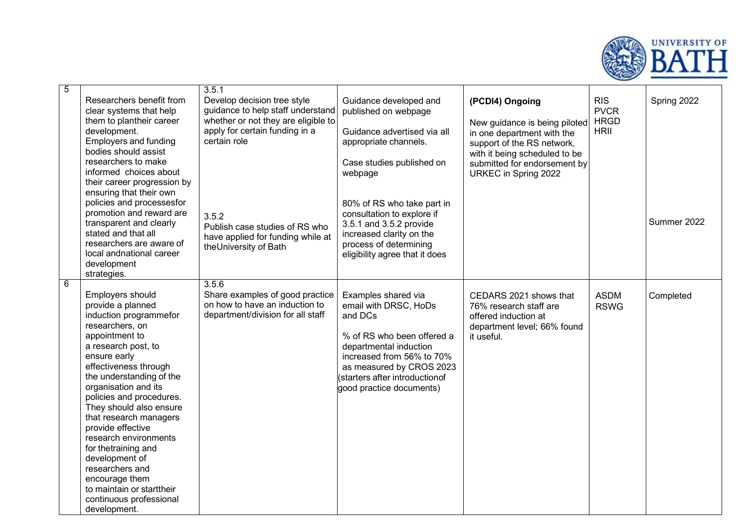

| $\overline{5}$ |                                                                                                                                                                                                                                                                                                                                                                                                                                                                                                               | 3.5.1                                                                                                                                                     |                                                                                                                                                                                                                                        |                                                                                                                                                                                                       |                                                         |             |
|----------------|---------------------------------------------------------------------------------------------------------------------------------------------------------------------------------------------------------------------------------------------------------------------------------------------------------------------------------------------------------------------------------------------------------------------------------------------------------------------------------------------------------------|-----------------------------------------------------------------------------------------------------------------------------------------------------------|----------------------------------------------------------------------------------------------------------------------------------------------------------------------------------------------------------------------------------------|-------------------------------------------------------------------------------------------------------------------------------------------------------------------------------------------------------|---------------------------------------------------------|-------------|
|                | Researchers benefit from<br>clear systems that help<br>them to plantheir career<br>development.<br><b>Employers and funding</b><br>bodies should assist<br>researchers to make<br>informed choices about<br>their career progression by<br>ensuring that their own                                                                                                                                                                                                                                            | Develop decision tree style<br>guidance to help staff understand<br>whether or not they are eligible to<br>apply for certain funding in a<br>certain role | Guidance developed and<br>published on webpage<br>Guidance advertised via all<br>appropriate channels.<br>Case studies published on<br>webpage                                                                                         | (PCDI4) Ongoing<br>New guidance is being piloted<br>in one department with the<br>support of the RS network,<br>with it being scheduled to be<br>submitted for endorsement by<br>URKEC in Spring 2022 | <b>RIS</b><br><b>PVCR</b><br><b>HRGD</b><br><b>HRII</b> | Spring 2022 |
|                | policies and processesfor<br>promotion and reward are<br>transparent and clearly<br>stated and that all<br>researchers are aware of<br>local andnational career<br>development<br>strategies.                                                                                                                                                                                                                                                                                                                 | 3.5.2<br>Publish case studies of RS who<br>have applied for funding while at<br>theUniversity of Bath                                                     | 80% of RS who take part in<br>consultation to explore if<br>3.5.1 and 3.5.2 provide<br>increased clarity on the<br>process of determining<br>eligibility agree that it does                                                            |                                                                                                                                                                                                       |                                                         | Summer 2022 |
| 6              | Employers should<br>provide a planned<br>induction programmefor<br>researchers, on<br>appointment to<br>a research post, to<br>ensure early<br>effectiveness through<br>the understanding of the<br>organisation and its<br>policies and procedures.<br>They should also ensure<br>that research managers<br>provide effective<br>research environments<br>for thetraining and<br>development of<br>researchers and<br>encourage them<br>to maintain or starttheir<br>continuous professional<br>development. | 3.5.6<br>Share examples of good practice<br>on how to have an induction to<br>department/division for all staff                                           | Examples shared via<br>email with DRSC, HoDs<br>and DCs<br>% of RS who been offered a<br>departmental induction<br>increased from 56% to 70%<br>as measured by CROS 2023<br>(starters after introductionof<br>good practice documents) | CEDARS 2021 shows that<br>76% research staff are<br>offered induction at<br>department level; 66% found<br>it useful.                                                                                 | <b>ASDM</b><br><b>RSWG</b>                              | Completed   |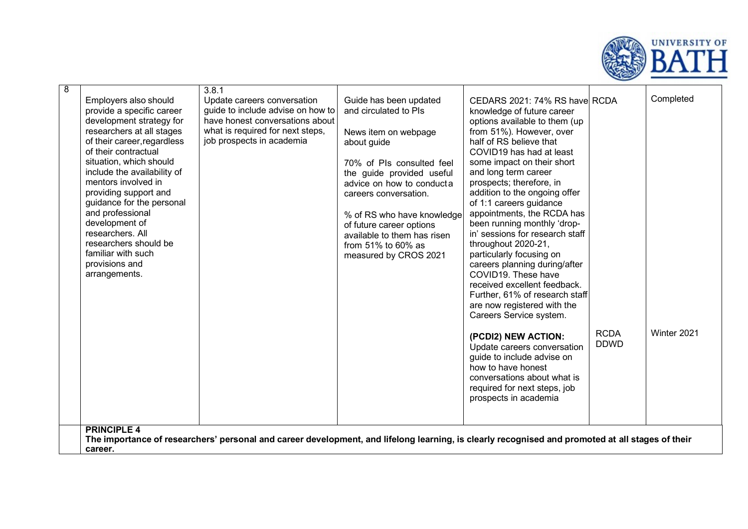

| $\overline{\infty}$ | Employers also should<br>provide a specific career<br>development strategy for<br>researchers at all stages<br>of their career, regardless<br>of their contractual<br>situation, which should<br>include the availability of<br>mentors involved in<br>providing support and<br>guidance for the personal<br>and professional<br>development of<br>researchers. All<br>researchers should be<br>familiar with such<br>provisions and<br>arrangements. | 3.8.1<br>Update careers conversation<br>guide to include advise on how to<br>have honest conversations about<br>what is required for next steps,<br>job prospects in academia | Guide has been updated<br>and circulated to PIs<br>News item on webpage<br>about guide<br>70% of PIs consulted feel<br>the guide provided useful<br>advice on how to conducta<br>careers conversation.<br>% of RS who have knowledge<br>of future career options<br>available to them has risen<br>from $51\%$ to 60% as<br>measured by CROS 2021 | CEDARS 2021: 74% RS have RCDA<br>knowledge of future career<br>options available to them (up<br>from 51%). However, over<br>half of RS believe that<br>COVID19 has had at least<br>some impact on their short<br>and long term career<br>prospects; therefore, in<br>addition to the ongoing offer<br>of 1:1 careers guidance<br>appointments, the RCDA has<br>been running monthly 'drop-<br>in' sessions for research staff<br>throughout 2020-21,<br>particularly focusing on<br>careers planning during/after<br>COVID19. These have<br>received excellent feedback.<br>Further, 61% of research staff<br>are now registered with the<br>Careers Service system.<br>(PCDI2) NEW ACTION:<br>Update careers conversation<br>guide to include advise on<br>how to have honest<br>conversations about what is<br>required for next steps, job<br>prospects in academia | <b>RCDA</b><br><b>DDWD</b> | Completed<br>Winter 2021 |
|---------------------|-------------------------------------------------------------------------------------------------------------------------------------------------------------------------------------------------------------------------------------------------------------------------------------------------------------------------------------------------------------------------------------------------------------------------------------------------------|-------------------------------------------------------------------------------------------------------------------------------------------------------------------------------|---------------------------------------------------------------------------------------------------------------------------------------------------------------------------------------------------------------------------------------------------------------------------------------------------------------------------------------------------|------------------------------------------------------------------------------------------------------------------------------------------------------------------------------------------------------------------------------------------------------------------------------------------------------------------------------------------------------------------------------------------------------------------------------------------------------------------------------------------------------------------------------------------------------------------------------------------------------------------------------------------------------------------------------------------------------------------------------------------------------------------------------------------------------------------------------------------------------------------------|----------------------------|--------------------------|
|                     | <b>PRINCIPLE 4</b><br>career.                                                                                                                                                                                                                                                                                                                                                                                                                         | The importance of researchers' personal and career development, and lifelong learning, is clearly recognised and promoted at all stages of their                              |                                                                                                                                                                                                                                                                                                                                                   |                                                                                                                                                                                                                                                                                                                                                                                                                                                                                                                                                                                                                                                                                                                                                                                                                                                                        |                            |                          |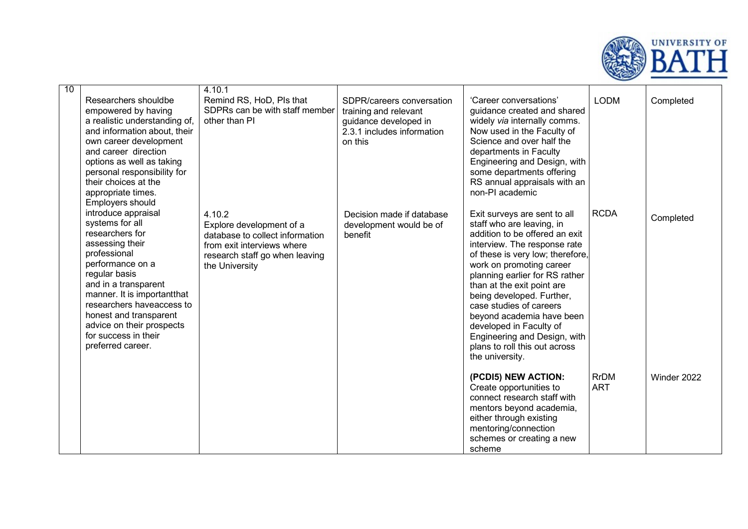

| 10 |                                                     | 4.10.1                          |                            |                                                               |             |             |
|----|-----------------------------------------------------|---------------------------------|----------------------------|---------------------------------------------------------------|-------------|-------------|
|    | Researchers shouldbe                                | Remind RS, HoD, Pls that        | SDPR/careers conversation  | 'Career conversations'                                        | <b>LODM</b> | Completed   |
|    | empowered by having                                 | SDPRs can be with staff member  | training and relevant      | guidance created and shared                                   |             |             |
|    | a realistic understanding of,                       | other than PI                   | guidance developed in      | widely via internally comms.                                  |             |             |
|    | and information about, their                        |                                 | 2.3.1 includes information | Now used in the Faculty of                                    |             |             |
|    | own career development                              |                                 | on this                    | Science and over half the                                     |             |             |
|    | and career direction                                |                                 |                            | departments in Faculty                                        |             |             |
|    | options as well as taking                           |                                 |                            | Engineering and Design, with                                  |             |             |
|    | personal responsibility for<br>their choices at the |                                 |                            | some departments offering                                     |             |             |
|    | appropriate times.                                  |                                 |                            | RS annual appraisals with an<br>non-PI academic               |             |             |
|    | Employers should                                    |                                 |                            |                                                               |             |             |
|    | introduce appraisal                                 | 4.10.2                          | Decision made if database  | Exit surveys are sent to all                                  | <b>RCDA</b> |             |
|    | systems for all                                     | Explore development of a        | development would be of    | staff who are leaving, in                                     |             | Completed   |
|    | researchers for                                     | database to collect information | benefit                    | addition to be offered an exit                                |             |             |
|    | assessing their                                     | from exit interviews where      |                            | interview. The response rate                                  |             |             |
|    | professional                                        | research staff go when leaving  |                            | of these is very low; therefore,                              |             |             |
|    | performance on a                                    | the University                  |                            | work on promoting career                                      |             |             |
|    | regular basis                                       |                                 |                            | planning earlier for RS rather                                |             |             |
|    | and in a transparent                                |                                 |                            | than at the exit point are                                    |             |             |
|    | manner. It is important that                        |                                 |                            | being developed. Further,                                     |             |             |
|    | researchers haveaccess to                           |                                 |                            | case studies of careers                                       |             |             |
|    | honest and transparent                              |                                 |                            | beyond academia have been                                     |             |             |
|    | advice on their prospects<br>for success in their   |                                 |                            | developed in Faculty of                                       |             |             |
|    | preferred career.                                   |                                 |                            | Engineering and Design, with<br>plans to roll this out across |             |             |
|    |                                                     |                                 |                            | the university.                                               |             |             |
|    |                                                     |                                 |                            |                                                               |             |             |
|    |                                                     |                                 |                            | (PCDI5) NEW ACTION:                                           | <b>RrDM</b> | Winder 2022 |
|    |                                                     |                                 |                            | Create opportunities to                                       | <b>ART</b>  |             |
|    |                                                     |                                 |                            | connect research staff with                                   |             |             |
|    |                                                     |                                 |                            | mentors beyond academia,                                      |             |             |
|    |                                                     |                                 |                            | either through existing                                       |             |             |
|    |                                                     |                                 |                            | mentoring/connection                                          |             |             |
|    |                                                     |                                 |                            | schemes or creating a new                                     |             |             |
|    |                                                     |                                 |                            | scheme                                                        |             |             |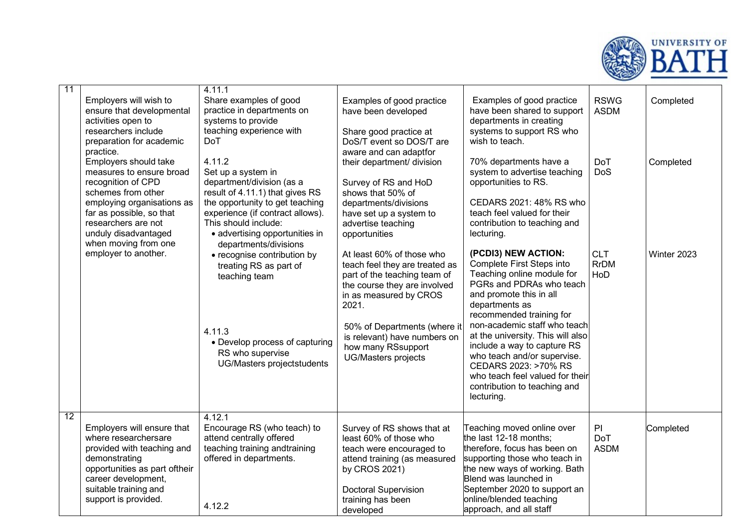

| 11 | Employers will wish to<br>ensure that developmental<br>activities open to<br>researchers include<br>preparation for academic<br>practice.                                                                                      | 4.11.1<br>Share examples of good<br>practice in departments on<br>systems to provide<br>teaching experience with<br><b>DoT</b>                                                                                                                         | Examples of good practice<br>have been developed<br>Share good practice at<br>DoS/T event so DOS/T are                                                                                                                                                                      | Examples of good practice<br>have been shared to support<br>departments in creating<br>systems to support RS who<br>wish to teach.                                                                                                                                                                                                                                                                                              | <b>RSWG</b><br><b>ASDM</b>       | Completed   |
|----|--------------------------------------------------------------------------------------------------------------------------------------------------------------------------------------------------------------------------------|--------------------------------------------------------------------------------------------------------------------------------------------------------------------------------------------------------------------------------------------------------|-----------------------------------------------------------------------------------------------------------------------------------------------------------------------------------------------------------------------------------------------------------------------------|---------------------------------------------------------------------------------------------------------------------------------------------------------------------------------------------------------------------------------------------------------------------------------------------------------------------------------------------------------------------------------------------------------------------------------|----------------------------------|-------------|
|    | Employers should take<br>measures to ensure broad<br>recognition of CPD<br>schemes from other<br>employing organisations as<br>far as possible, so that<br>researchers are not<br>unduly disadvantaged<br>when moving from one | 4.11.2<br>Set up a system in<br>department/division (as a<br>result of 4.11.1) that gives RS<br>the opportunity to get teaching<br>experience (if contract allows).<br>This should include:<br>• advertising opportunities in<br>departments/divisions | aware and can adaptfor<br>their department/ division<br>Survey of RS and HoD<br>shows that 50% of<br>departments/divisions<br>have set up a system to<br>advertise teaching<br>opportunities                                                                                | 70% departments have a<br>system to advertise teaching<br>opportunities to RS.<br>CEDARS 2021: 48% RS who<br>teach feel valued for their<br>contribution to teaching and<br>lecturing.                                                                                                                                                                                                                                          | <b>DoT</b><br>DoS                | Completed   |
|    | employer to another.                                                                                                                                                                                                           | • recognise contribution by<br>treating RS as part of<br>teaching team<br>4.11.3<br>• Develop process of capturing<br>RS who supervise<br>UG/Masters projectstudents                                                                                   | At least 60% of those who<br>teach feel they are treated as<br>part of the teaching team of<br>the course they are involved<br>in as measured by CROS<br>2021.<br>50% of Departments (where it<br>is relevant) have numbers on<br>how many RSsupport<br>UG/Masters projects | (PCDI3) NEW ACTION:<br>Complete First Steps into<br>Teaching online module for<br>PGRs and PDRAs who teach<br>and promote this in all<br>departments as<br>recommended training for<br>non-academic staff who teach<br>at the university. This will also<br>include a way to capture RS<br>who teach and/or supervise.<br>CEDARS 2023: >70% RS<br>who teach feel valued for their<br>contribution to teaching and<br>lecturing. | <b>CLT</b><br><b>RrDM</b><br>HoD | Winter 2023 |
| 12 | Employers will ensure that<br>where researchersare<br>provided with teaching and<br>demonstrating<br>opportunities as part oftheir<br>career development,<br>suitable training and<br>support is provided.                     | 4.12.1<br>Encourage RS (who teach) to<br>attend centrally offered<br>teaching training andtraining<br>offered in departments.<br>4.12.2                                                                                                                | Survey of RS shows that at<br>least 60% of those who<br>teach were encouraged to<br>attend training (as measured<br>by CROS 2021)<br><b>Doctoral Supervision</b><br>training has been<br>developed                                                                          | Teaching moved online over<br>the last 12-18 months;<br>therefore, focus has been on<br>supporting those who teach in<br>the new ways of working. Bath<br>Blend was launched in<br>September 2020 to support an<br>online/blended teaching<br>approach, and all staff                                                                                                                                                           | PI<br><b>DoT</b><br><b>ASDM</b>  | Completed   |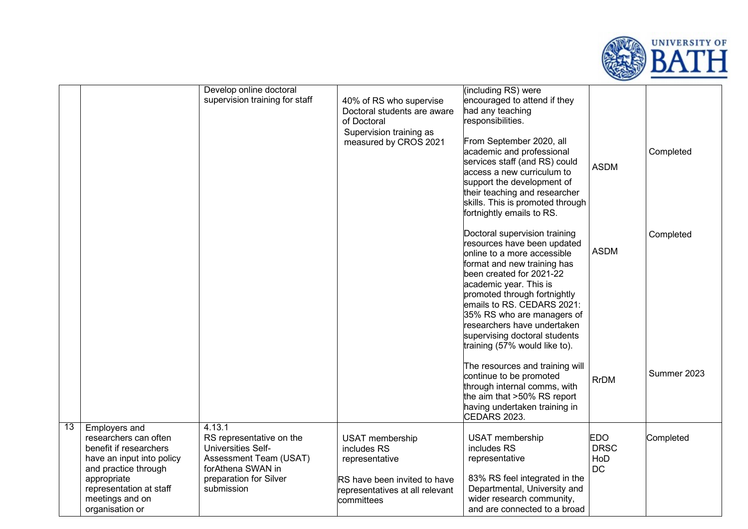

|    |                           | Develop online doctoral        |                                 | (including RS) were              |             |             |
|----|---------------------------|--------------------------------|---------------------------------|----------------------------------|-------------|-------------|
|    |                           | supervision training for staff | 40% of RS who supervise         | encouraged to attend if they     |             |             |
|    |                           |                                | Doctoral students are aware     | had any teaching                 |             |             |
|    |                           |                                | of Doctoral                     | responsibilities.                |             |             |
|    |                           |                                | Supervision training as         |                                  |             |             |
|    |                           |                                | measured by CROS 2021           | From September 2020, all         |             |             |
|    |                           |                                |                                 | academic and professional        |             | Completed   |
|    |                           |                                |                                 | services staff (and RS) could    | <b>ASDM</b> |             |
|    |                           |                                |                                 | access a new curriculum to       |             |             |
|    |                           |                                |                                 | support the development of       |             |             |
|    |                           |                                |                                 | their teaching and researcher    |             |             |
|    |                           |                                |                                 | skills. This is promoted through |             |             |
|    |                           |                                |                                 | fortnightly emails to RS.        |             |             |
|    |                           |                                |                                 |                                  |             |             |
|    |                           |                                |                                 | Doctoral supervision training    |             | Completed   |
|    |                           |                                |                                 | resources have been updated      |             |             |
|    |                           |                                |                                 | online to a more accessible      | <b>ASDM</b> |             |
|    |                           |                                |                                 | format and new training has      |             |             |
|    |                           |                                |                                 | been created for 2021-22         |             |             |
|    |                           |                                |                                 | academic year. This is           |             |             |
|    |                           |                                |                                 | promoted through fortnightly     |             |             |
|    |                           |                                |                                 | emails to RS. CEDARS 2021:       |             |             |
|    |                           |                                |                                 | 35% RS who are managers of       |             |             |
|    |                           |                                |                                 | researchers have undertaken      |             |             |
|    |                           |                                |                                 | supervising doctoral students    |             |             |
|    |                           |                                |                                 | training (57% would like to).    |             |             |
|    |                           |                                |                                 |                                  |             |             |
|    |                           |                                |                                 | The resources and training will  |             | Summer 2023 |
|    |                           |                                |                                 | continue to be promoted          | <b>RrDM</b> |             |
|    |                           |                                |                                 | through internal comms, with     |             |             |
|    |                           |                                |                                 | the aim that >50% RS report      |             |             |
|    |                           |                                |                                 | having undertaken training in    |             |             |
|    |                           |                                |                                 | CEDARS 2023.                     |             |             |
| 13 | Employers and             | 4.13.1                         |                                 |                                  |             |             |
|    | researchers can often     | RS representative on the       | USAT membership                 | <b>USAT</b> membership           | <b>EDO</b>  | Completed   |
|    | benefit if researchers    | Universities Self-             | includes RS                     | includes RS                      | <b>DRSC</b> |             |
|    | have an input into policy | Assessment Team (USAT)         | representative                  | representative                   | HoD         |             |
|    | and practice through      | forAthena SWAN in              |                                 |                                  | <b>DC</b>   |             |
|    | appropriate               | preparation for Silver         | RS have been invited to have    | 83% RS feel integrated in the    |             |             |
|    | representation at staff   | submission                     | representatives at all relevant | Departmental, University and     |             |             |
|    | meetings and on           |                                | committees                      | wider research community,        |             |             |
|    | organisation or           |                                |                                 | and are connected to a broad     |             |             |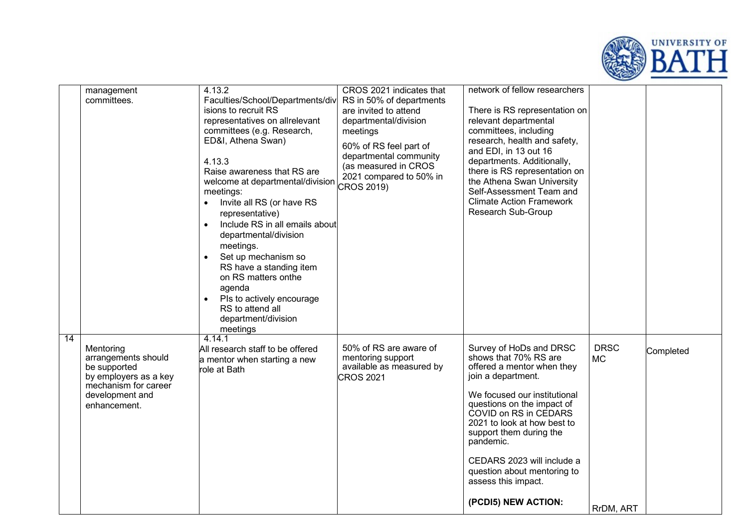

|    | management<br>committees.                                                                                                            | 4.13.2<br>Faculties/School/Departments/div<br>isions to recruit RS<br>representatives on allrelevant<br>committees (e.g. Research,<br>ED&I, Athena Swan)<br>4.13.3<br>Raise awareness that RS are<br>welcome at departmental/division<br>meetings:<br>Invite all RS (or have RS<br>$\bullet$<br>representative)<br>Include RS in all emails about<br>departmental/division<br>meetings.<br>Set up mechanism so<br>RS have a standing item<br>on RS matters onthe | CROS 2021 indicates that<br>RS in 50% of departments<br>are invited to attend<br>departmental/division<br>meetings<br>60% of RS feel part of<br>departmental community<br>(as measured in CROS<br>2021 compared to 50% in<br><b>CROS 2019)</b> | network of fellow researchers<br>There is RS representation on<br>relevant departmental<br>committees, including<br>research, health and safety,<br>and EDI, in 13 out 16<br>departments. Additionally,<br>there is RS representation on<br>the Athena Swan University<br>Self-Assessment Team and<br><b>Climate Action Framework</b><br>Research Sub-Group                   |                                       |           |
|----|--------------------------------------------------------------------------------------------------------------------------------------|------------------------------------------------------------------------------------------------------------------------------------------------------------------------------------------------------------------------------------------------------------------------------------------------------------------------------------------------------------------------------------------------------------------------------------------------------------------|------------------------------------------------------------------------------------------------------------------------------------------------------------------------------------------------------------------------------------------------|-------------------------------------------------------------------------------------------------------------------------------------------------------------------------------------------------------------------------------------------------------------------------------------------------------------------------------------------------------------------------------|---------------------------------------|-----------|
|    |                                                                                                                                      | agenda<br>PIs to actively encourage<br>$\bullet$<br>RS to attend all<br>department/division<br>meetings                                                                                                                                                                                                                                                                                                                                                          |                                                                                                                                                                                                                                                |                                                                                                                                                                                                                                                                                                                                                                               |                                       |           |
| 14 | Mentoring<br>arrangements should<br>be supported<br>by employers as a key<br>mechanism for career<br>development and<br>enhancement. | 4.14.1<br>All research staff to be offered<br>a mentor when starting a new<br>role at Bath                                                                                                                                                                                                                                                                                                                                                                       | 50% of RS are aware of<br>mentoring support<br>available as measured by<br><b>CROS 2021</b>                                                                                                                                                    | Survey of HoDs and DRSC<br>shows that 70% RS are<br>offered a mentor when they<br>join a department.<br>We focused our institutional<br>questions on the impact of<br>COVID on RS in CEDARS<br>2021 to look at how best to<br>support them during the<br>pandemic.<br>CEDARS 2023 will include a<br>question about mentoring to<br>assess this impact.<br>(PCDI5) NEW ACTION: | <b>DRSC</b><br><b>MC</b><br>RrDM, ART | Completed |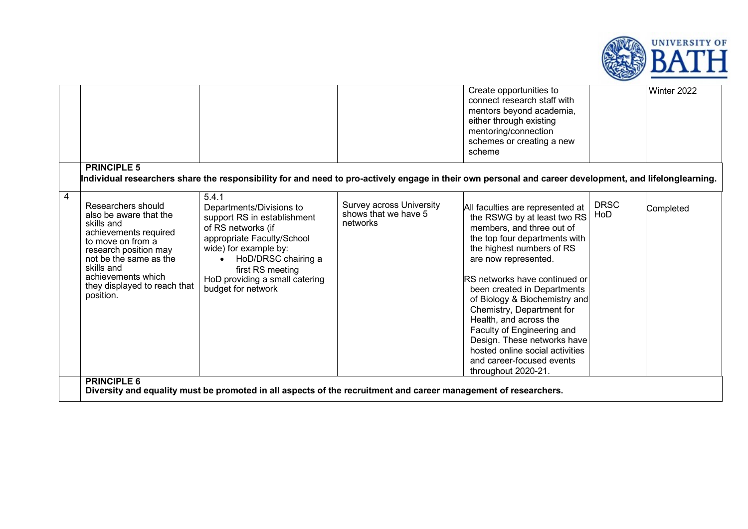

|   |                                                                                                                                                                                                                                              |                                                                                                                                                                                                                                                  |                                                              | Create opportunities to<br>connect research staff with<br>mentors beyond academia,<br>either through existing<br>mentoring/connection<br>schemes or creating a new<br>scheme                                                                                                                                                                                                                                                                                                                          |                    | Winter 2022 |
|---|----------------------------------------------------------------------------------------------------------------------------------------------------------------------------------------------------------------------------------------------|--------------------------------------------------------------------------------------------------------------------------------------------------------------------------------------------------------------------------------------------------|--------------------------------------------------------------|-------------------------------------------------------------------------------------------------------------------------------------------------------------------------------------------------------------------------------------------------------------------------------------------------------------------------------------------------------------------------------------------------------------------------------------------------------------------------------------------------------|--------------------|-------------|
|   | <b>PRINCIPLE 5</b>                                                                                                                                                                                                                           | Individual researchers share the responsibility for and need to pro-actively engage in their own personal and career development, and lifelonglearning.                                                                                          |                                                              |                                                                                                                                                                                                                                                                                                                                                                                                                                                                                                       |                    |             |
| 4 | Researchers should<br>also be aware that the<br>skills and<br>achievements required<br>to move on from a<br>research position may<br>not be the same as the<br>skills and<br>achievements which<br>they displayed to reach that<br>position. | 5.4.1<br>Departments/Divisions to<br>support RS in establishment<br>of RS networks (if<br>appropriate Faculty/School<br>wide) for example by:<br>HoD/DRSC chairing a<br>first RS meeting<br>HoD providing a small catering<br>budget for network | Survey across University<br>shows that we have 5<br>networks | All faculties are represented at<br>the RSWG by at least two RS<br>members, and three out of<br>the top four departments with<br>the highest numbers of RS<br>are now represented.<br><b>RS</b> networks have continued or<br>been created in Departments<br>of Biology & Biochemistry and<br>Chemistry, Department for<br>Health, and across the<br>Faculty of Engineering and<br>Design. These networks have<br>hosted online social activities<br>and career-focused events<br>throughout 2020-21. | <b>DRSC</b><br>HoD | Completed   |
|   | <b>PRINCIPLE 6</b>                                                                                                                                                                                                                           | Diversity and equality must be promoted in all aspects of the recruitment and career management of researchers.                                                                                                                                  |                                                              |                                                                                                                                                                                                                                                                                                                                                                                                                                                                                                       |                    |             |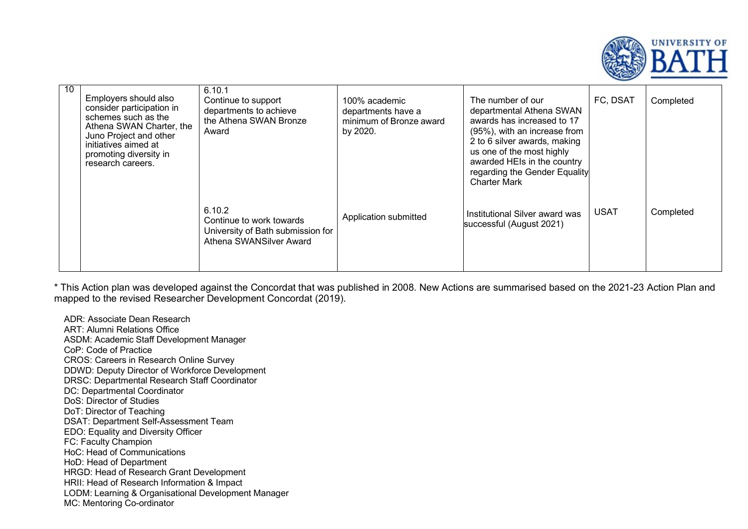

| 10 | Employers should also<br>consider participation in<br>schemes such as the<br>Athena SWAN Charter, the<br>Juno Project and other<br>initiatives aimed at<br>promoting diversity in<br>research careers. | 6.10.1<br>Continue to support<br>departments to achieve<br>the Athena SWAN Bronze<br>Award         | 100% academic<br>departments have a<br>minimum of Bronze award<br>by 2020. | The number of our<br>departmental Athena SWAN<br>awards has increased to 17<br>(95%), with an increase from<br>2 to 6 silver awards, making<br>us one of the most highly<br>awarded HEIs in the country<br>regarding the Gender Equality<br><b>Charter Mark</b> | FC, DSAT    | Completed |
|----|--------------------------------------------------------------------------------------------------------------------------------------------------------------------------------------------------------|----------------------------------------------------------------------------------------------------|----------------------------------------------------------------------------|-----------------------------------------------------------------------------------------------------------------------------------------------------------------------------------------------------------------------------------------------------------------|-------------|-----------|
|    |                                                                                                                                                                                                        | 6.10.2<br>Continue to work towards<br>University of Bath submission for<br>Athena SWANSilver Award | Application submitted                                                      | Institutional Silver award was<br>successful (August 2021)                                                                                                                                                                                                      | <b>USAT</b> | Completed |

\* This Action plan was developed against the Concordat that was published in 2008. New Actions are summarised based on the 2021-23 Action Plan and mapped to the revised Researcher Development Concordat (2019).

ADR: Associate Dean Research ART: Alumni Relations Office ASDM: Academic Staff Development Manager CoP: Code of Practice CROS: Careers in Research Online Survey DDWD: Deputy Director of Workforce Development DRSC: Departmental Research Staff Coordinator DC: Departmental Coordinator DoS: Director of Studies DoT: Director of Teaching DSAT: Department Self-Assessment Team EDO: Equality and Diversity Officer FC: Faculty Champion HoC: Head of Communications HoD: Head of Department HRGD: Head of Research Grant Development HRII: Head of Research Information & Impact LODM: Learning & Organisational Development Manager MC: Mentoring Co-ordinator